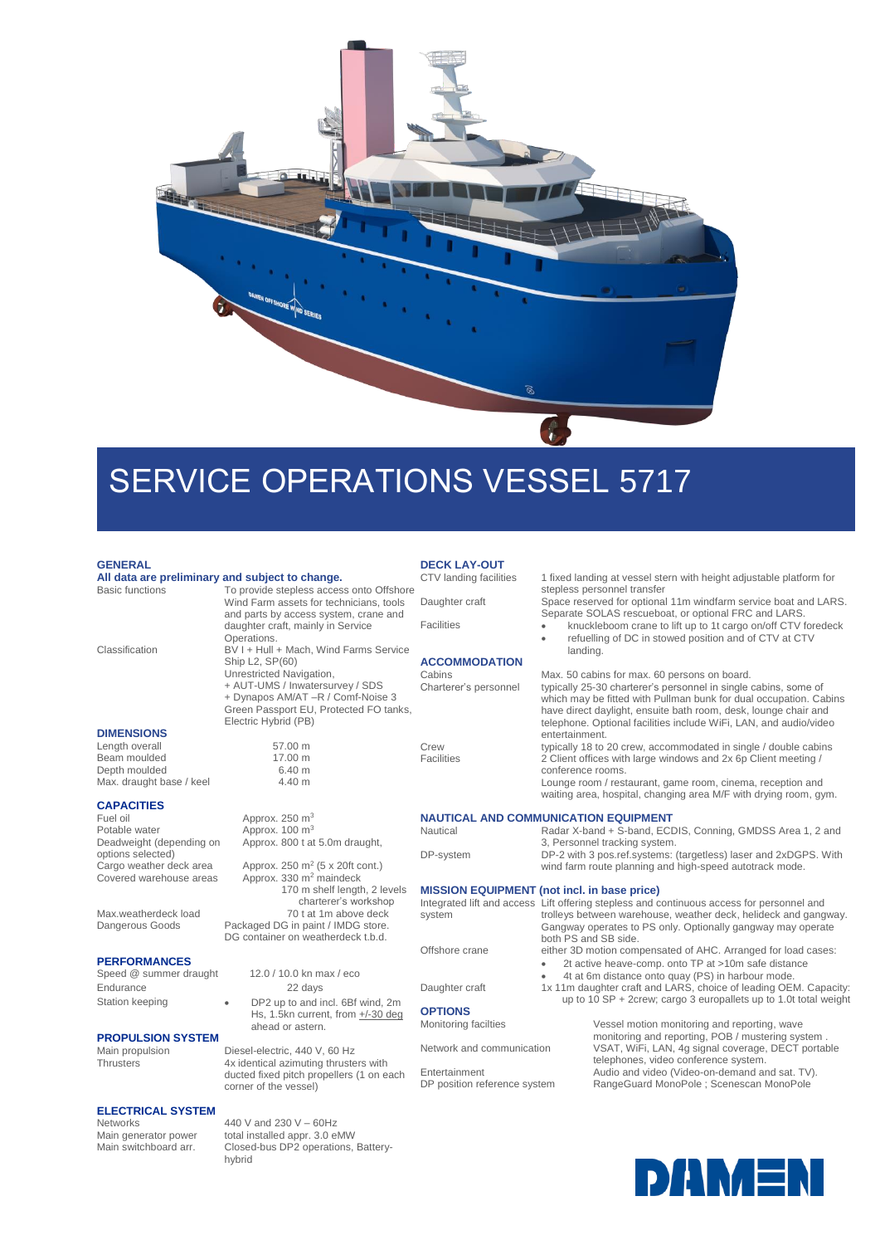

# SERVICE OPERATIONS VESSEL 5717

## **GENERAL**

## **All data are preliminary and subject to change.**

Operations. Classification BV I + Hull + Mach, Wind Farms Service Ship 1.2, SP(60) Unrestricted Navigation, + AUT-UMS / Inwatersurvey / SDS + Dynapos AM/AT –R / Comf-Noise 3 Green Passport EU, Protected FO tanks,

Electric Hybrid (PB)

 $A$ pprox. 100 m<sup>3</sup>

Approx. 800 t at 5.0m draught,

Approx.  $250 \text{ m}^2$  (5 x 20ft cont.) Approx. 330 m<sup>2</sup> maindeck

Packaged DG in paint / IMDG store. DG container on weatherdeck t.b.d.

ahead or astern.

corner of the vessel)

hybrid

440 V and 230 V – 60Hz

Thrusters 4x identical azimuting thrusters with ducted fixed pitch propellers (1 on each

Closed-bus DP2 operations, Battery-

Hs, 1.5kn current, from +/-30 deg

170 m shelf length, 2 levels charterer's workshop<br>70 t at 1m above deck

Wind Farm assets for technicians, tools and parts by access system, crane and daughter craft, mainly in Service

### **DIMENSIONS**

Length overall 57.00 m<br>Beam moulded 17.00 m Beam moulded Depth moulded 6.40 m Max. draught base / keel 4.40 m

## **CAPACITIES**

Fuel oil  $\frac{1}{2}$  Approx. 250 m<sup>3</sup><br>Potable water  $\frac{1}{2}$  Approx. 100 m<sup>3</sup> Deadweight (depending on options selected) Cargo weather deck area<br>Covered warehouse areas

Max.weatherdeck load<br>Dangerous Goods

## **PERFORMANCES**

Speed @ summer draught 12.0 / 10.0 kn max / eco Endurance 22 days Station keeping **a** DP2 up to and incl. 6Bf wind, 2m

## **PROPULSION SYSTEM**<br>Main propulsion

Main propulsion<br>
Diesel-electric, 440 V, 60 Hz<br>
Thrusters

4x identical azimuting thruste

## **ELECTRICAL SYSTEM**

Main generator power total installed appr. 3.0 eMW<br>Main switchboard arr. Closed-bus DP2 operations.

# **DECK LAY-OUT**<br>CTV landing facilities

To provide stepless access onto Offshore

**ACCOMMODATION**

1 fixed landing at vessel stern with height adjustable platform for stepless personnel transfer

Daughter craft Space reserved for optional 11m windfarm service boat and LARS. Separate SOLAS rescueboat, or optional FRC and LARS.

Facilities • knuckleboom crane to lift up to 1t cargo on/off CTV foredeck refuelling of DC in stowed position and of CTV at CTV landing.

Cabins Max. 50 cabins for max. 60 persons on board.<br>Charterer's personnel typically 25-30 charterer's personnel in single typically 25-30 charterer's personnel in single cabins, some of which may be fitted with Pullman bunk for dual occupation. Cabins have direct daylight, ensuite bath room, desk, lounge chair and telephone. Optional facilities include WiFi, LAN, and audio/video entertainment.

Crew typically 18 to 20 crew, accommodated in single / double cabins<br>
Facilities 2 Client offices with large windows and 2x 6p Client meeting / 2 Client offices with large windows and 2x 6p Client meeting / conference rooms.

Lounge room / restaurant, game room, cinema, reception and waiting area, hospital, changing area M/F with drying room, gym.

## **NAUTICAL AND COMMUNICATION EQUIPMENT**

Nautical Radar X-band + S-band, ECDIS, Conning, GMDSS Area 1, 2 and 3, Personnel tracking system. DP-system DP-2 with 3 pos.ref.systems: (targetless) laser and 2xDGPS. With wind farm route planning and high-speed autotrack mode.

### **MISSION EQUIPMENT (not incl. in base price)**

| system               | Integrated lift and access Lift offering stepless and continuous access for personnel and<br>trolleys between warehouse, weather deck, helideck and gangway. |
|----------------------|--------------------------------------------------------------------------------------------------------------------------------------------------------------|
|                      | Gangway operates to PS only. Optionally gangway may operate<br>both PS and SB side.                                                                          |
| Offshore crane       | either 3D motion compensated of AHC. Arranged for load cases:                                                                                                |
|                      | 2t active heave-comp. onto TP at >10m safe distance                                                                                                          |
|                      | 4t at 6m distance onto quay (PS) in harbour mode.                                                                                                            |
| Daughter craft       | 1x 11m daughter craft and LARS, choice of leading OEM. Capacity:                                                                                             |
|                      | up to 10 SP + 2crew; cargo 3 europallets up to 1.0t total weight                                                                                             |
| <b>OPTIONS</b>       |                                                                                                                                                              |
| Monitoring facilties | Vessel motion monitoring and reporting, wave                                                                                                                 |
|                      | monitoring and reporting, POB / mustering system.                                                                                                            |
|                      |                                                                                                                                                              |

DP position reference system RangeGuard MonoPole ; Scenescan MonoPole

Network and communication VSAT, WiFi, LAN, 4g signal coverage, DECT portable telephones, video conference system. Entertainment Audio and video (Video-on-demand and sat. TV).

**DANAEN**